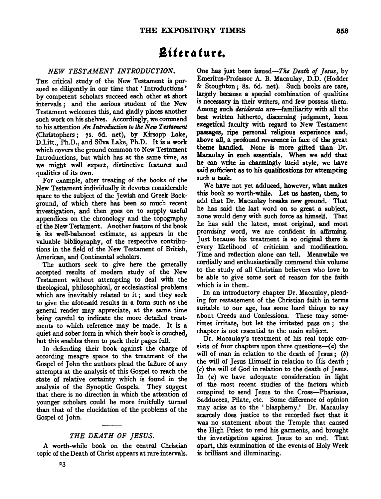## **a'** *t t* **r"** *t"* **r** *t.*

## *NEW TESTAMENT INTRODUCTION.*

THE critical study of the New Testament is pursued so diligently in our time that ' Introductions ' by competent scholars succeed each other at short intervals; and the serious student of the New Testament welcomes this, and gladly places another such work on his shelves. Accordingly, we commend to his attention *An Introduction to the New Testament* (Christophers; 7s. 6d. net), by Kirsopp Lake, D.Litt., Ph.D., and Silva Lake, Ph.D. It is a work which covers the ground common to New Testament Introductions, but which has at the same time, as we might well expect, distinctive features and qualities of its own.

For example, after treating of the books of the New Testament individually it devotes considerable space to the subject of the Jewish and Greek Background, of which there has been so much recent investigation, and then goes on to supply useful appendices on the chronology and the topography of the New Testament. Another feature of the book is its well-balanced estimate, as appears in the valuable bibliography, of the respective contributions in the field of the New Testament of British, American, and Continental scholars.

The authors seek to give here the generally accepted results of modem study of the New Testament without attempting to deal with the theological, philosophical, or ecclesiastical problems which are inevitably related to it *;* and they seek to give the aforesaid results in a form such as the general reader may appreciate, at the same time being careful to indicate the more detailed treatments to which reference may be made. It is a quiet and sober form in which their book is couched, but this enables them to pack their pages full.

In defending their book against the charge of according meagre space to the treatment of the Gospel of John the authors plead the failure of any attempts at the analysis of this Gospel to reach the state of relative certainty which is found in the analysis of the Synoptic Gospels. They suggest that there is no direction in which the attention of younger scholars could be more fruitfully turned than that of the elucidation of the problems of the Gospel of John.

## *THE DEATH OF JESUS.*

A worth-while book on the central Christian topic of the Death of Christ appears at rare intervals.

One has just been issued-The *Death of Jesus,* by Emeritus-Professor A. B. Macaulay, D.D. (Hodder & Stoughton *;* Ss. 6d. net). Such books are rare, largely because a special combination of qualities is necessary in their writers, and few possess them. Among such *desiderata* are-familiarity with all the best written hitherto, discerning judgment, keen exegetical faculty with regard to New Testament passages, ripe personal religious experience and, above all, a profound reverence in face of the great theme handled. None is more gifted than Dr. Macaulay in such essentials. When we add that he can write in charmingly lucid style, we have said sufficient as to his qualifications for attempting such a task.

We have not yet adduced, however, what makes this book so worth-while. Let us hasten, then, to add that Dr. Macaulay breaks new ground. That he has said the last word on so great a subject, none would deny with such force as himself. That he has said the latest, most original, and most promising word, we are confident in affirming. Just because his treatment is so original there is every likelihood of criticism and modification. Time and reflection alone can tell. Meanwhile we cordially and enthusiastically commend this volume to the study of all Christian believers who love to be able to give some sort of reason for the faith which is in them.

In an introductory chapter Dr. Macaulay, pleading for restatement of the Christian faith in terms suitable to our age, has some hard things to say about Creeds and Confessions. These may sometimes irritate, but let the irritated pass on *;* the chapter is not essential to the main subject.

Dr. Macaulay's treatment of his real topic consists of four chapters upon three questions- $(a)$  the will of man in relation to the death of Jesus; *(b)*  the will of Jesus Himself in relation to His death *; (c)* the will of God in relation to the death of Jesus. In *(a)* we have adequate consideration in light of the most recent studies of the factors which conspired to send Jesus to the Cross-Pharisees, Sadducees, Pilate, etc. Some difference of opinion may arise as to the 'blasphemy.' Dr. Macaulay scarcely does justice to the recorded fact that it was no statement about the Temple that caused the High Priest to rend his garments, and brought the investigation against Jesus to an end. That apart, this examination of the events of Holy Week is brilliant and illuminating.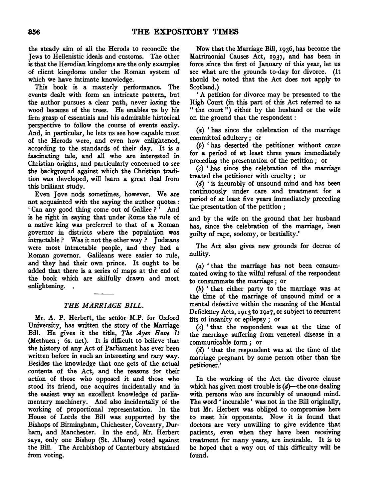the steady aim of all the Herods to reconcile the Jews to Hellenistic ideals and customs. The other is that the Herodian kingdoms are the only examples of client kingdoms under the Roman system of which we have intimate knowledge.

This book is a masterly performance. The events dealt with form an intricate pattern, but the author pursues a clear path, never losing the wood because of the trees. He enables us by his firm grasp of essentials and his admirable historical perspective to follow the course of events easily. And, in particular, he lets us see how capable most of the Herods were, and even how enlightened, according to the standards of their day. It is a fascinating tale, and all who are interested in Christian origins, and particularly concerned to see the background against which the Christian tradition was developed, will learn a great deal from this brilliant study.

Even Jove nods sometimes, however. We are not acquainted with the saying the author quotes: ' Can any good thing come out of Galilee ? ' And is he right in saying that under Rome the rule of a native king was preferred to that of a Roman governor in districts where the population was intractable ? Was it not the other way ? Judæans were most intractable people, and they had a Roman governor. Galileans were easier to rule, and they had their own prince. It ought to be added that there is a series of maps at the end of the book which are skilfully drawn and most enlightening...

## *THE MARRIAGE BILL.*

Mr. A. P. Herbert, the senior M.P. for Oxford University, has written the story of the Marriage Bill. He gives it the title, *The Ayes Have It*  (Methuen; 6s. net). It is difficult to believe that the history of any Act of Parliament has ever been written before in such an interesting and racy way. Besides the knowledge that one gets of the actual contents of the Act, and the reasons for their action of those who opposed it and those who stood its friend, one acquires incidentally and in the easiest way an excellent knowledge of parliamentary machinery. And also incidentally of the working of proportional representation. In the House of Lords the Bill was supported by the Bishops of Birmingham, Chichester, Coventry, Durham, and Manchester. In the end, Mr. Herbert says, only one Bishop (St. Albans) voted against the Bill. The Archbishop of Canterbury abstained from voting.

Now that the Marriage Bill, 1936, has become the Matrimonial Causes *Act,* 1937, and has been in force since the first of January of this year, let us see what are the grounds to-day for divorce. (It should be noted that the Act does not apply to Scotland.}

'A petition for divorce may be presented to the High Court (in this part of this Act referred to as " the court") either by the husband or the wife on the ground that the respondent :

(a} 'has since the celebration of the marriage committed adultery *;* or

(b) ' has deserted the petitioner without cause for a period of at least three years immediately preceding the presentation of the petition *;* or

 $(c)$  'has since the celebration of the marriage treated the petitioner with cruelty *;* or

(d) ' is incurably of unsound mind and has been continuously under care and treatment for a period of at least five years immediately preceding the presentation of the petition *;* 

and by the wife on the ground that her husband has, since the celebration of the marriage, been guilty of rape, sodomy, or bestiality.'

The Act also gives new grounds for decree of nullity.

(a) 'that the marriage has not been consummated owing to the wilful refusal of the respondent to consummate the marriage *;* or

(b) ' that either party to the marriage was at the time of the marriage of unsound mind or a mental defective within the meaning of the Mental Deficiency Acts, 1913 to 1927, or subject to recurrent fits of insanity or epilepsy *;* or

(c) ' that the respondent was at the time of the marriage suffering from venereal disease in a communicable form *;* or

(d) ' that the respondent was at the time of the marriage pregnant by some person other than the petitioner.'

In the working of the Act the divorce clause which has given most trouble is  $(d)$ —the one dealing with persons who are incurably of unsound mind. The word' incurable' was not in the Bill originally, but Mr. Herbert was obliged to compromise here to meet his opponents. Now it is found that doctors are very unwilling to give evidence that patients, even when they have been receiving treatment for many years, are incurable. It is to be hoped that a way out of this difficulty will be found.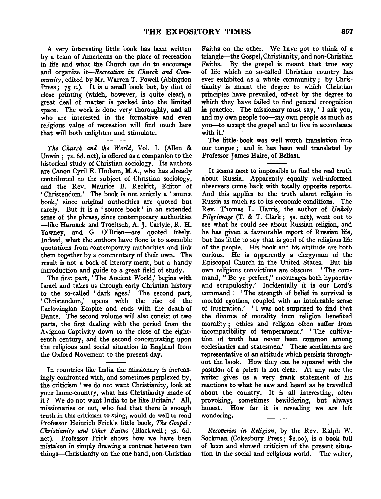A very interesting little book has been written by a team of Americans on the place of recreation in life and what the Church can do to encourage and organize *it-Recreation in Church and Community,* edited by Mr. Warren T. Powell (Abingdon Press;  $75$  c.). It is a small book but, by dint of close printing (which, however, is quite clear), a great deal of matter is packed into the limited space. The work is done very thoroughly, and all who are interested in the formative and even religious value of recreation will find much here that will both enlighten and stimulate.

*The Church and the World,* Vol. I. (Alien & Unwin; 7s. 6d. net), is offered as a companion to the historical study of Christian sociology. Its authors are Canon Cyril E. Hudson, M.A., who has already contributed to the subject of Christian sociology, and the Rev. Maurice B. Reckitt, Editor of ' Christendom.' The book is not strictly a ' source book,' since original authorities are quoted but rarely. But it is a ' source book ' in an extended sense of the phrase, since contemporary authorities -like Harnack and Troeltsch, A. J. Carlyle, R. H. Tawney, and G. O'Brien-are quoted freely. Indeed, what the authors have done is to assemble quotations from contemporary authorities and link them together by a commentary of their own. The result is not a book of literary merit, but a handy introduction and guide to a great field of study.

The first part, 'The Ancient World,' begins with Israel and takes us through early Christian history to the so-called 'dark ages.' The second part, ' Christendom,' opens with the rise of the Carlovingian Empire and ends with the death of Dante. The second volume will also consist of two parts, the first dealing with the period from the Avignon Captivity down to the close of the eighteenth century, and the second concentrating upon the religious and social situation in England from the Oxford Movement to the present day.

In countries like India the missionary is increasingly confronted with, and sometimes perplexed by, the criticism ' we do not want Christianity, look at your home-country, what has Christianity made of it? We do not want India to be like Britain.' All, missionaries or not, who feel that there is enough truth in this criticism to sting, would do well to read Professor Heinrich Frick's little book, *The Gospel: Christianity and Other Faiths (Blackwell: 35, 6d.* net). Professor Frick shows how we have been mistaken in simply drawing a contrast between two things-Christianity on the one hand, non-Christian

Faiths on the other. We have got to think of a triangle-the Gospel, Christianity, and non-Christian Faiths. By the gospel is meant that true way of life which no so-called Christian country has ever exhibited as a whole community ; by Christianity is meant the degree to which Christian principles have prevailed, off-set by the degree to which they have failed to find general recognition in practice. The missionary must say, 'I ask you, and my own people too-my own people as much as you-to accept the gospel and to live in accordance with it.'

The little book was well worth translation into our tongue ; and it has been well translated by Professor James Haire, of Belfast.

It seems next to impossible to find the real truth about Russia. Apparently equally well-informed observers come back with totally opposite reports. And this applies to the truth about religion in Russia as much as to its economic conditions. The Rev. Thomas L. Harris, the author of *Unholy*  Pilgrimage (T. & T. Clark; 5s. net), went out to see what he could see about Russian religion, and he has given a favourable report of Russian life, but has little to say that is good of the religious life of the people. His book and his attitude are both curious. He is apparently a clergyman of the Episcopal Church in the United States. But his own religious convictions are obscure. ' The command, "Be ye perfect," encourages both hypocrisy and scrupulosity.' Incidentally it is our Lord's command ! ' The strength of belief in survival is morbid egotism, coupled with an intolerable sense of frustration.' ' I was not surprised to find that the divorce of morality from religion benefited morality ; ethics and religion often suffer from incompatibility of temperament.' ' The cultivation of truth has never been common among ecclesiastics and statesmen.' These sentiments are representative of an attitude which persists throughout the book. How they can be squared with the position of a priest is not clear. At any rate the writer gives us a very frank statement of his reactions to what he saw and heard as he travelled about the country. It is all interesting, often provoking, sometimes bewildering, but always honest. How far it is revealing we are left wondering.

*Recoveries in Religion*, by the Rev. Ralph W. Sockman (Cokesbury Press; \$2.oo), is a book full of keen and shrewd criticism of the present situation in the social and religious world. The writer,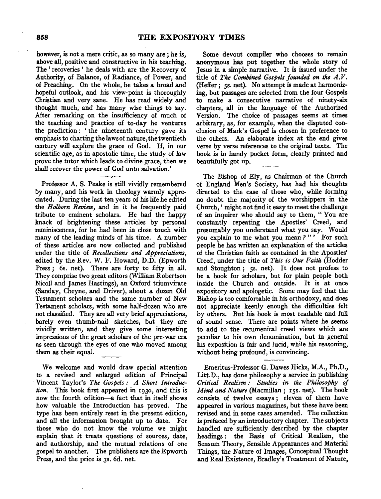however, is not a mere critic, as so many are *;* he is, we ver, is not a mere critic, as so many are; he is, above all, positive and constructive in his teaching. The 'recoveries' he deals with are the Recovery of Authority, of Balance, of Radiance, of Power, and of Preaching. On the whole, he takes a broad and hopeful outlook, and his view-point is thoroughly Christian and very sane. He has read widely and thought much, and has many wise things to say. After remarking on the insufficiency of much of the teaching and practice of to-day he ventures the prediction: 'the nineteenth century gave its emphasis to charting the laws of nature, the twentieth century will explore the grace of God. If, in our scientific age, as in apostolic time, the study of law prove the tutor which leads to divine grace, then we shall recover the power of God unto salvation.'

Professor A. S. Peake is still vividly remembered by reflexion A. S. Feake is still vividly remembered by many, and his work in theology warmly appreciated. During the last ten years of his life he edited the Holborn Review, and in it he frequently paid tribute to eminent scholars. He had the happy knack of brightening these articles by personal reminiscences, for he had been in close touch with many of the leading minds of his time. A number of these articles are now collected and published under the title of *Recollections and Appreciations*, edited by the Rev. W. F. Howard, D.D. (Epworth Press; 6s. net). There are forty to fifty in all. They comprise two great editors (William Robertson Nicoll and James Hastings), an Oxford triumvirate (Sanday, Cheyne, and Driver), about a dozen Old Testament scholars and the same number of New Testament scholars, with some half-dozen who are not classified. They are all very brief appreciations, barely even thumb-nail sketches, but they are vividly written, and they give some interesting impressions of the great scholars of the pre-war era as seen through the eyes of one who moved among them as their equal.

We welcome and would draw special attention  $\alpha$  we welcome and would draw special attention to a revised and enlarged edition of Principal Vincent Taylor's The Gospels: A Short Introduction. This book first appeared in 1930, and this is how the fourth edition—a fact that in itself shows how valuable the Introduction has proved. The type has been entirely reset in the present edition, and all the information brought up to date. For those who do not know the volume we might explain that it treats questions of sources, date, and authorship, and the mutual relations of one gospel to another. The publishers are the Epworth<br>Press, and the price is 3s. 6d. net.

Some devout compiler who chooses to remain Some devout complete who chooses to temant<br>together the whole story of<br>my in a simple narrative. It is issued under the Tesus in a simple narrative. It is issued under the title of The Combined Gospels founded on the A.V. (Heffer; 5s. net). No attempt is made at harmonizing, but passages are selected from the four Gospels to make a consecutive narrative of ninety-six chapters, all in the language of the Authorized Version. The choice of passages seems at times arbitrary, as, for example, when the disputed conclusion of Mark's Gospel is chosen in preference to the others. An elaborate index at the end gives verse by verse references to the original texts. The book is in handy pocket form, clearly printed and beautifully got up.

The Bishop of Ely, as Chairman of the Church The England Men's Society, as Chairman of the Church of England Men's Society, has had his thoughts directed to the case of those who, while forming no doubt the majority of the worshippers in the Church, ' might not find it easy to meet the challenge of an inquirer who should say to them, "You are constantly repeating the Apostles' Creed, and presumably you understand what you say. Would you explain to me what you mean?"' For such people he has written an explanation of the articles of the Christian faith as contained in the Apostles' Creed, under the title of This is Our Faith (Hodder and Stoughton; 5s. net). It does not profess to be a book for scholars, but for plain people both inside the Church and outside. It is at once expository and apologetic. Some may feel that the Bishop is too comfortable in his orthodoxy, and does not appreciate keenly enough the difficulties felt by others. But his book is most readable and full of sound sense. There are points where he seems to add to the œcumenical creed views which are peculiar to his own denomination, but in general his exposition is fair and lucid, while his reasoning, without being profound, is convincing.

 $E = \frac{1}{2}$  $L$ mentus-Professor G. Dawes filcks,  $M.A., F.D.,$ Litt.D., has done philosophy a service in publishing Critical Realism: Studies in the Philosophy of Mind and Nature (Macmillan;  $15s$ . net). The book consists of twelve essays; eleven of them have appeared in various magazines, but these have been revised and in some cases amended. The collection is prefaced by an introductory chapter. The subjects handled are sufficiently described by the chapter headings: the Basis of Critical Realism, the Sensum Theory, Sensible Appearances and Material Things, the Nature of Images, Conceptual Thought<br>and Real Existence, Bradley's Treatment of Nature,